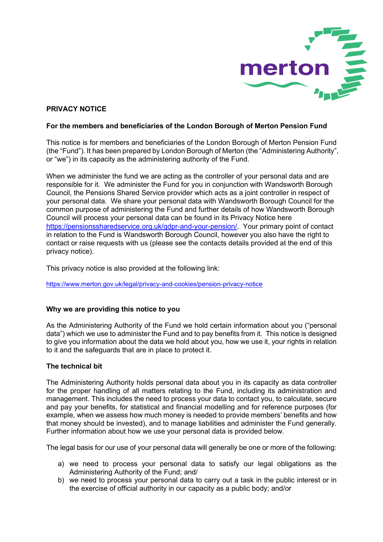

# PRIVACY NOTICE

#### For the members and beneficiaries of the London Borough of Merton Pension Fund

This notice is for members and beneficiaries of the London Borough of Merton Pension Fund (the "Fund"). It has been prepared by London Borough of Merton (the "Administering Authority", or "we") in its capacity as the administering authority of the Fund.

When we administer the fund we are acting as the controller of your personal data and are responsible for it. We administer the Fund for you in conjunction with Wandsworth Borough Council, the Pensions Shared Service provider which acts as a joint controller in respect of your personal data. We share your personal data with Wandsworth Borough Council for the common purpose of administering the Fund and further details of how Wandsworth Borough Council will process your personal data can be found in its Privacy Notice here https://pensionssharedservice.org.uk/gdpr-and-your-pension/. Your primary point of contact in relation to the Fund is Wandsworth Borough Council, however you also have the right to contact or raise requests with us (please see the contacts details provided at the end of this privacy notice).

This privacy notice is also provided at the following link:

https://www.merton.gov.uk/legal/privacy-and-cookies/pension-privacy-notice

## Why we are providing this notice to you

As the Administering Authority of the Fund we hold certain information about you ("personal data") which we use to administer the Fund and to pay benefits from it. This notice is designed to give you information about the data we hold about you, how we use it, your rights in relation to it and the safeguards that are in place to protect it.

## The technical bit

The Administering Authority holds personal data about you in its capacity as data controller for the proper handling of all matters relating to the Fund, including its administration and management. This includes the need to process your data to contact you, to calculate, secure and pay your benefits, for statistical and financial modelling and for reference purposes (for example, when we assess how much money is needed to provide members' benefits and how that money should be invested), and to manage liabilities and administer the Fund generally. Further information about how we use your personal data is provided below.

The legal basis for our use of your personal data will generally be one or more of the following:

- a) we need to process your personal data to satisfy our legal obligations as the Administering Authority of the Fund; and/
- b) we need to process your personal data to carry out a task in the public interest or in the exercise of official authority in our capacity as a public body; and/or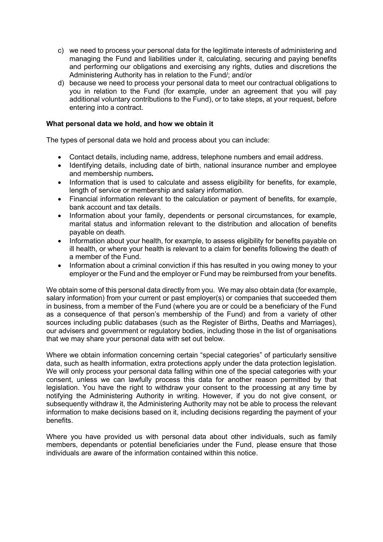- c) we need to process your personal data for the legitimate interests of administering and managing the Fund and liabilities under it, calculating, securing and paying benefits and performing our obligations and exercising any rights, duties and discretions the Administering Authority has in relation to the Fund/; and/or
- d) because we need to process your personal data to meet our contractual obligations to you in relation to the Fund (for example, under an agreement that you will pay additional voluntary contributions to the Fund), or to take steps, at your request, before entering into a contract.

## What personal data we hold, and how we obtain it

The types of personal data we hold and process about you can include:

- Contact details, including name, address, telephone numbers and email address.
- Identifying details, including date of birth, national insurance number and employee and membership numbers.
- Information that is used to calculate and assess eligibility for benefits, for example, length of service or membership and salary information.
- Financial information relevant to the calculation or payment of benefits, for example, bank account and tax details.
- Information about your family, dependents or personal circumstances, for example, marital status and information relevant to the distribution and allocation of benefits payable on death.
- Information about your health, for example, to assess eligibility for benefits payable on ill health, or where your health is relevant to a claim for benefits following the death of a member of the Fund.
- Information about a criminal conviction if this has resulted in you owing money to your employer or the Fund and the employer or Fund may be reimbursed from your benefits.

We obtain some of this personal data directly from you. We may also obtain data (for example, salary information) from your current or past employer(s) or companies that succeeded them in business, from a member of the Fund (where you are or could be a beneficiary of the Fund as a consequence of that person's membership of the Fund) and from a variety of other sources including public databases (such as the Register of Births, Deaths and Marriages), our advisers and government or regulatory bodies, including those in the list of organisations that we may share your personal data with set out below.

Where we obtain information concerning certain "special categories" of particularly sensitive data, such as health information, extra protections apply under the data protection legislation. We will only process your personal data falling within one of the special categories with your consent, unless we can lawfully process this data for another reason permitted by that legislation. You have the right to withdraw your consent to the processing at any time by notifying the Administering Authority in writing. However, if you do not give consent, or subsequently withdraw it, the Administering Authority may not be able to process the relevant information to make decisions based on it, including decisions regarding the payment of your benefits.

Where you have provided us with personal data about other individuals, such as family members, dependants or potential beneficiaries under the Fund, please ensure that those individuals are aware of the information contained within this notice.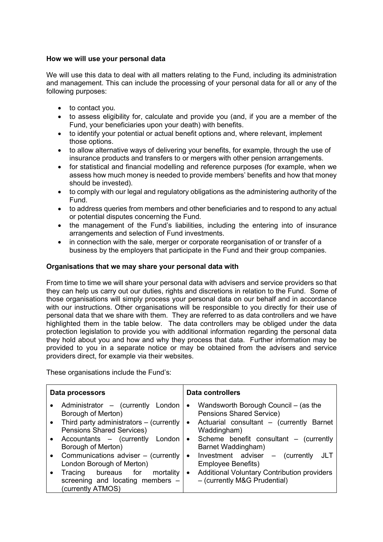# How we will use your personal data

We will use this data to deal with all matters relating to the Fund, including its administration and management. This can include the processing of your personal data for all or any of the following purposes:

- to contact you.
- to assess eligibility for, calculate and provide you (and, if you are a member of the Fund, your beneficiaries upon your death) with benefits.
- to identify your potential or actual benefit options and, where relevant, implement those options.
- to allow alternative ways of delivering your benefits, for example, through the use of insurance products and transfers to or mergers with other pension arrangements.
- for statistical and financial modelling and reference purposes (for example, when we assess how much money is needed to provide members' benefits and how that money should be invested).
- to comply with our legal and regulatory obligations as the administering authority of the Fund.
- to address queries from members and other beneficiaries and to respond to any actual or potential disputes concerning the Fund.
- the management of the Fund's liabilities, including the entering into of insurance arrangements and selection of Fund investments.
- in connection with the sale, merger or corporate reorganisation of or transfer of a business by the employers that participate in the Fund and their group companies.

#### Organisations that we may share your personal data with

From time to time we will share your personal data with advisers and service providers so that they can help us carry out our duties, rights and discretions in relation to the Fund. Some of those organisations will simply process your personal data on our behalf and in accordance with our instructions. Other organisations will be responsible to you directly for their use of personal data that we share with them. They are referred to as data controllers and we have highlighted them in the table below. The data controllers may be obliged under the data protection legislation to provide you with additional information regarding the personal data they hold about you and how and why they process that data. Further information may be provided to you in a separate notice or may be obtained from the advisers and service providers direct, for example via their websites.

These organisations include the Fund's:

| Data processors                                                                                                                                                                                                                                                                                                                                                | <b>Data controllers</b>                                                                                                                                                                                                                                                                                                                                                            |  |
|----------------------------------------------------------------------------------------------------------------------------------------------------------------------------------------------------------------------------------------------------------------------------------------------------------------------------------------------------------------|------------------------------------------------------------------------------------------------------------------------------------------------------------------------------------------------------------------------------------------------------------------------------------------------------------------------------------------------------------------------------------|--|
| Administrator - (currently<br>London<br>$\bullet$<br>Borough of Merton)<br>Third party administrators – (currently<br>$\bullet$<br><b>Pensions Shared Services)</b><br>Accountants - (currently London<br>$\bullet$<br>Borough of Merton)<br>Communications adviser – (currently<br>$\bullet$<br>London Borough of Merton)<br>bureaus for mortality<br>Tracing | Wandsworth Borough Council – (as the<br>$\bullet$<br>Pensions Shared Service)<br>Actuarial consultant - (currently Barnet<br>$\bullet$<br>Waddingham)<br>Scheme benefit consultant - (currently<br>$\bullet$<br>Barnet Waddingham)<br>Investment adviser - (currently<br>JLT<br>$\bullet$<br>Employee Benefits)<br><b>Additional Voluntary Contribution providers</b><br>$\bullet$ |  |
| screening and locating members -<br>(currently ATMOS)                                                                                                                                                                                                                                                                                                          | - (currently M&G Prudential)                                                                                                                                                                                                                                                                                                                                                       |  |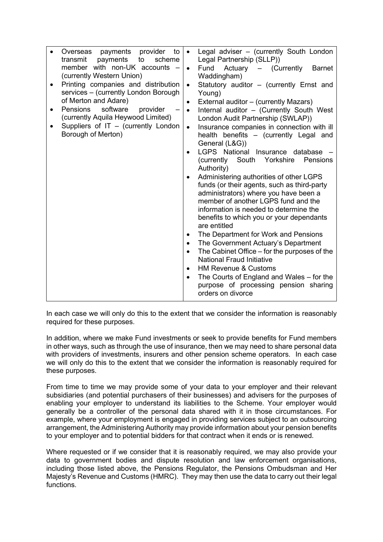|   | payments<br>provider<br>to<br>Overseas  | $\bullet$ | Legal adviser - (currently South London      |
|---|-----------------------------------------|-----------|----------------------------------------------|
|   | transmit<br>payments<br>to<br>scheme    |           | Legal Partnership (SLLP))                    |
|   | member with non-UK accounts -           | $\bullet$ | Fund Actuary - (Currently<br><b>Barnet</b>   |
|   | (currently Western Union)               |           | Waddingham)                                  |
|   | Printing companies and distribution     | $\bullet$ | Statutory auditor - (currently Ernst and     |
|   | services - (currently London Borough    |           | Young)                                       |
|   | of Merton and Adare)                    | ٠         | External auditor - (currently Mazars)        |
| ٠ | software<br><b>Pensions</b><br>provider | $\bullet$ | Internal auditor - (Currently South West     |
|   | (currently Aquila Heywood Limited)      |           |                                              |
|   |                                         |           | London Audit Partnership (SWLAP))            |
|   | Suppliers of IT - (currently London     | $\bullet$ | Insurance companies in connection with ill   |
|   | Borough of Merton)                      |           | health benefits - (currently Legal and       |
|   |                                         |           | General (L&G))                               |
|   |                                         | $\bullet$ | LGPS National Insurance database             |
|   |                                         |           | (currently South Yorkshire<br>Pensions       |
|   |                                         |           | Authority)                                   |
|   |                                         | $\bullet$ | Administering authorities of other LGPS      |
|   |                                         |           | funds (or their agents, such as third-party  |
|   |                                         |           | administrators) where you have been a        |
|   |                                         |           | member of another LGPS fund and the          |
|   |                                         |           | information is needed to determine the       |
|   |                                         |           | benefits to which you or your dependants     |
|   |                                         |           | are entitled                                 |
|   |                                         | $\bullet$ | The Department for Work and Pensions         |
|   |                                         | $\bullet$ | The Government Actuary's Department          |
|   |                                         | $\bullet$ | The Cabinet Office – for the purposes of the |
|   |                                         |           | <b>National Fraud Initiative</b>             |
|   |                                         |           |                                              |
|   |                                         | $\bullet$ | <b>HM Revenue &amp; Customs</b>              |
|   |                                         | $\bullet$ | The Courts of England and Wales – for the    |
|   |                                         |           | purpose of processing pension sharing        |
|   |                                         |           | orders on divorce                            |

In each case we will only do this to the extent that we consider the information is reasonably required for these purposes.

In addition, where we make Fund investments or seek to provide benefits for Fund members in other ways, such as through the use of insurance, then we may need to share personal data with providers of investments, insurers and other pension scheme operators. In each case we will only do this to the extent that we consider the information is reasonably required for these purposes.

From time to time we may provide some of your data to your employer and their relevant subsidiaries (and potential purchasers of their businesses) and advisers for the purposes of enabling your employer to understand its liabilities to the Scheme. Your employer would generally be a controller of the personal data shared with it in those circumstances. For example, where your employment is engaged in providing services subject to an outsourcing arrangement, the Administering Authority may provide information about your pension benefits to your employer and to potential bidders for that contract when it ends or is renewed.

Where requested or if we consider that it is reasonably required, we may also provide your data to government bodies and dispute resolution and law enforcement organisations, including those listed above, the Pensions Regulator, the Pensions Ombudsman and Her Majesty's Revenue and Customs (HMRC). They may then use the data to carry out their legal functions.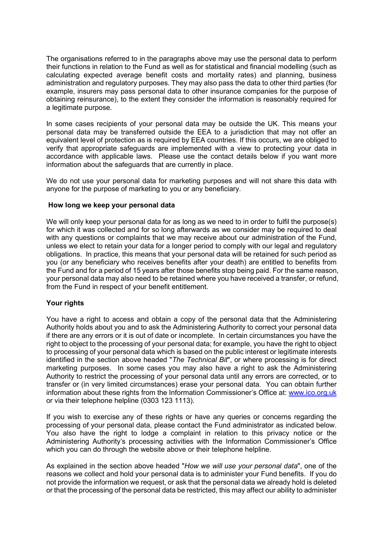The organisations referred to in the paragraphs above may use the personal data to perform their functions in relation to the Fund as well as for statistical and financial modelling (such as calculating expected average benefit costs and mortality rates) and planning, business administration and regulatory purposes. They may also pass the data to other third parties (for example, insurers may pass personal data to other insurance companies for the purpose of obtaining reinsurance), to the extent they consider the information is reasonably required for a legitimate purpose.

In some cases recipients of your personal data may be outside the UK. This means your personal data may be transferred outside the EEA to a jurisdiction that may not offer an equivalent level of protection as is required by EEA countries. If this occurs, we are obliged to verify that appropriate safeguards are implemented with a view to protecting your data in accordance with applicable laws. Please use the contact details below if you want more information about the safeguards that are currently in place.

We do not use your personal data for marketing purposes and will not share this data with anyone for the purpose of marketing to you or any beneficiary.

#### How long we keep your personal data

We will only keep your personal data for as long as we need to in order to fulfil the purpose(s) for which it was collected and for so long afterwards as we consider may be required to deal with any questions or complaints that we may receive about our administration of the Fund, unless we elect to retain your data for a longer period to comply with our legal and regulatory obligations. In practice, this means that your personal data will be retained for such period as you (or any beneficiary who receives benefits after your death) are entitled to benefits from the Fund and for a period of 15 years after those benefits stop being paid. For the same reason, your personal data may also need to be retained where you have received a transfer, or refund, from the Fund in respect of your benefit entitlement.

## Your rights

You have a right to access and obtain a copy of the personal data that the Administering Authority holds about you and to ask the Administering Authority to correct your personal data if there are any errors or it is out of date or incomplete. In certain circumstances you have the right to object to the processing of your personal data; for example, you have the right to object to processing of your personal data which is based on the public interest or legitimate interests identified in the section above headed "The Technical Bit", or where processing is for direct marketing purposes. In some cases you may also have a right to ask the Administering Authority to restrict the processing of your personal data until any errors are corrected, or to transfer or (in very limited circumstances) erase your personal data. You can obtain further information about these rights from the Information Commissioner's Office at: www.ico.org.uk or via their telephone helpline (0303 123 1113).

If you wish to exercise any of these rights or have any queries or concerns regarding the processing of your personal data, please contact the Fund administrator as indicated below. You also have the right to lodge a complaint in relation to this privacy notice or the Administering Authority's processing activities with the Information Commissioner's Office which you can do through the website above or their telephone helpline.

As explained in the section above headed "How we will use your personal data", one of the reasons we collect and hold your personal data is to administer your Fund benefits. If you do not provide the information we request, or ask that the personal data we already hold is deleted or that the processing of the personal data be restricted, this may affect our ability to administer